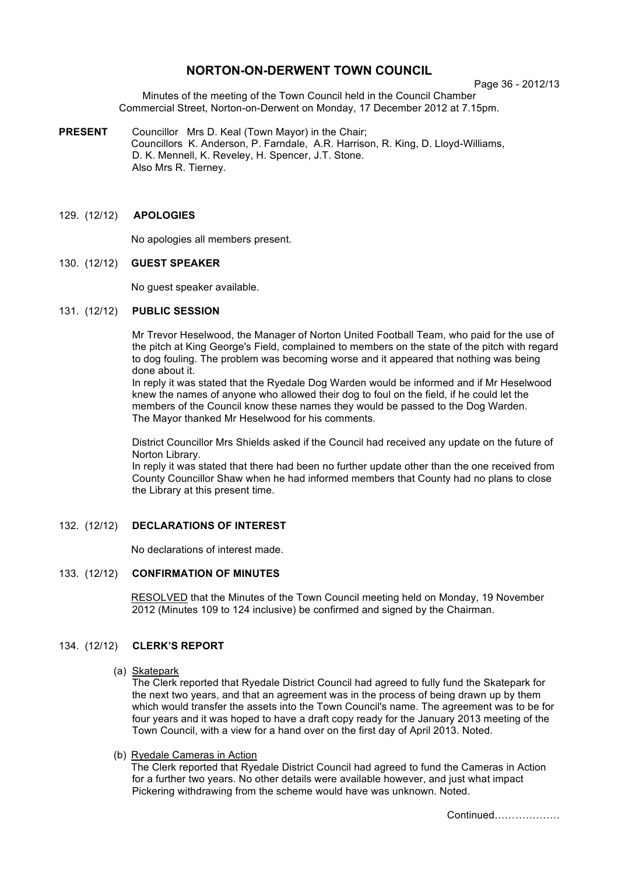# **NORTON-ON-DERWENT TOWN COUNCIL**

Page 36 - 2012/13

Minutes of the meeting of the Town Council held in the Council Chamber Commercial Street, Norton-on-Derwent on Monday, 17 December 2012 at 7.15pm.

**PRESENT** Councillor Mrs D. Keal (Town Mayor) in the Chair; Councillors K. Anderson, P. Farndale, A.R. Harrison, R. King, D. Lloyd-Williams, D. K. Mennell, K. Reveley, H. Spencer, J.T. Stone. Also Mrs R. Tierney.

## 129. (12/12) **APOLOGIES**

No apologies all members present.

### 130. (12/12) **GUEST SPEAKER**

No guest speaker available.

#### 131. (12/12) **PUBLIC SESSION**

Mr Trevor Heselwood, the Manager of Norton United Football Team, who paid for the use of the pitch at King George's Field, complained to members on the state of the pitch with regard to dog fouling. The problem was becoming worse and it appeared that nothing was being done about it.

In reply it was stated that the Ryedale Dog Warden would be informed and if Mr Heselwood knew the names of anyone who allowed their dog to foul on the field, if he could let the members of the Council know these names they would be passed to the Dog Warden. The Mayor thanked Mr Heselwood for his comments.

District Councillor Mrs Shields asked if the Council had received any update on the future of Norton Library.

In reply it was stated that there had been no further update other than the one received from County Councillor Shaw when he had informed members that County had no plans to close the Library at this present time.

### 132. (12/12) **DECLARATIONS OF INTEREST**

No declarations of interest made.

## 133. (12/12) **CONFIRMATION OF MINUTES**

 RESOLVED that the Minutes of the Town Council meeting held on Monday, 19 November 2012 (Minutes 109 to 124 inclusive) be confirmed and signed by the Chairman.

## 134. (12/12) **CLERK'S REPORT**

#### (a) Skatepark

The Clerk reported that Ryedale District Council had agreed to fully fund the Skatepark for the next two years, and that an agreement was in the process of being drawn up by them which would transfer the assets into the Town Council's name. The agreement was to be for four years and it was hoped to have a draft copy ready for the January 2013 meeting of the Town Council, with a view for a hand over on the first day of April 2013. Noted.

(b) Ryedale Cameras in Action

 The Clerk reported that Ryedale District Council had agreed to fund the Cameras in Action for a further two years. No other details were available however, and just what impact Pickering withdrawing from the scheme would have was unknown. Noted.

Continued……………….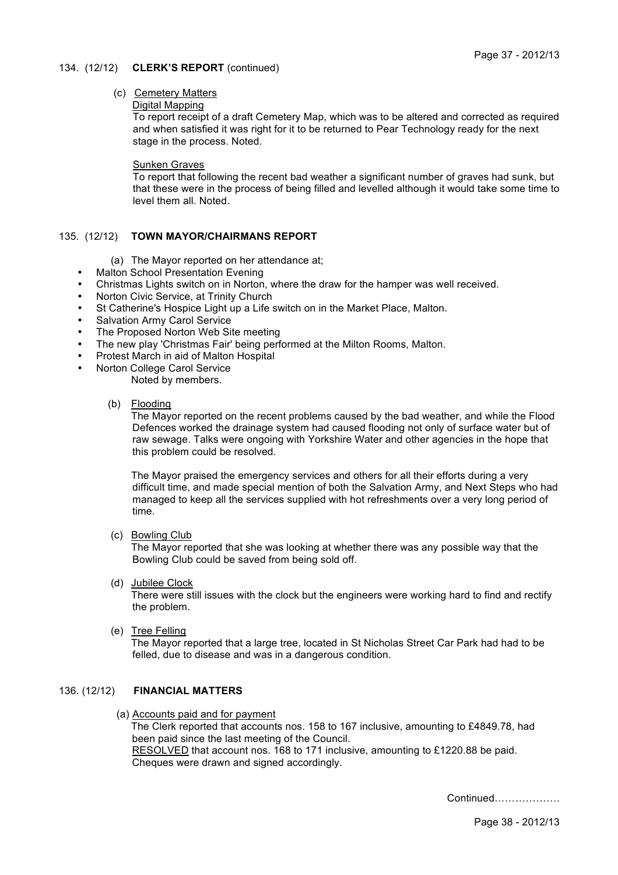### 134. (12/12) **CLERK'S REPORT** (continued)

## (c) Cemetery Matters

#### Digital Mapping

To report receipt of a draft Cemetery Map, which was to be altered and corrected as required and when satisfied it was right for it to be returned to Pear Technology ready for the next stage in the process. Noted.

#### Sunken Graves

To report that following the recent bad weather a significant number of graves had sunk, but that these were in the process of being filled and levelled although it would take some time to level them all. Noted.

### 135. (12/12) **TOWN MAYOR/CHAIRMANS REPORT**

- (a) The Mayor reported on her attendance at;
- **Malton School Presentation Evening**
- Christmas Lights switch on in Norton, where the draw for the hamper was well received.
- Norton Civic Service, at Trinity Church
- St Catherine's Hospice Light up a Life switch on in the Market Place, Malton.
- Salvation Army Carol Service
- The Proposed Norton Web Site meeting
- The new play 'Christmas Fair' being performed at the Milton Rooms, Malton.
- Protest March in aid of Malton Hospital
	- Norton College Carol Service

Noted by members.

(b) Flooding

The Mayor reported on the recent problems caused by the bad weather, and while the Flood Defences worked the drainage system had caused flooding not only of surface water but of raw sewage. Talks were ongoing with Yorkshire Water and other agencies in the hope that this problem could be resolved.

The Mayor praised the emergency services and others for all their efforts during a very difficult time, and made special mention of both the Salvation Army, and Next Steps who had managed to keep all the services supplied with hot refreshments over a very long period of time.

(c) Bowling Club

The Mayor reported that she was looking at whether there was any possible way that the Bowling Club could be saved from being sold off.

(d) Jubilee Clock

There were still issues with the clock but the engineers were working hard to find and rectify the problem.

(e) Tree Felling

The Mayor reported that a large tree, located in St Nicholas Street Car Park had had to be felled, due to disease and was in a dangerous condition.

## 136. (12/12) **FINANCIAL MATTERS**

 (a) Accounts paid and for payment The Clerk reported that accounts nos. 158 to 167 inclusive, amounting to £4849.78, had been paid since the last meeting of the Council. RESOLVED that account nos. 168 to 171 inclusive, amounting to £1220.88 be paid. Cheques were drawn and signed accordingly.

Continued……………….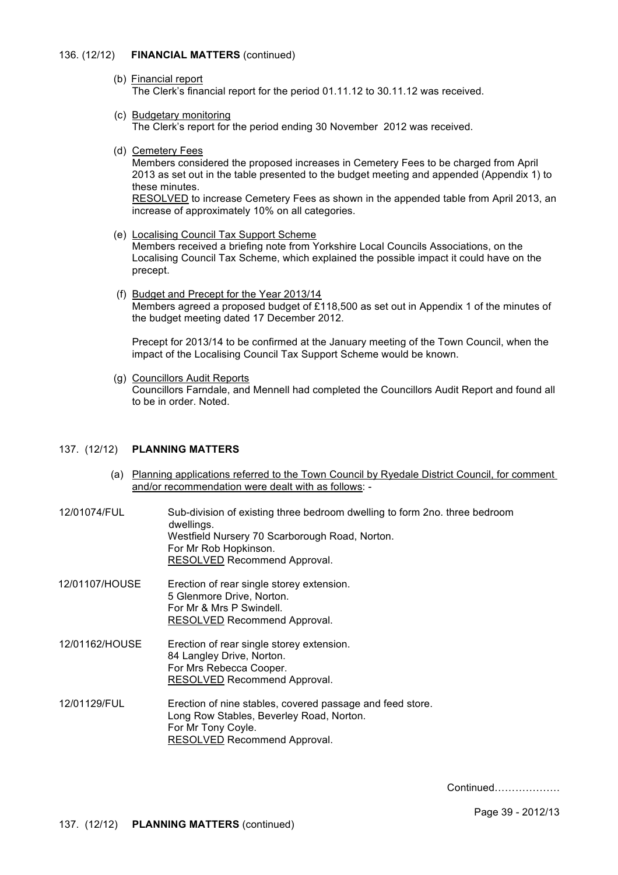### 136. (12/12) **FINANCIAL MATTERS** (continued)

- (b) Financial report The Clerk's financial report for the period 01.11.12 to 30.11.12 was received.
- (c) Budgetary monitoring The Clerk's report for the period ending 30 November 2012 was received.
- (d) Cemetery Fees

Members considered the proposed increases in Cemetery Fees to be charged from April 2013 as set out in the table presented to the budget meeting and appended (Appendix 1) to these minutes.

RESOLVED to increase Cemetery Fees as shown in the appended table from April 2013, an increase of approximately 10% on all categories.

(e) Localising Council Tax Support Scheme

Members received a briefing note from Yorkshire Local Councils Associations, on the Localising Council Tax Scheme, which explained the possible impact it could have on the precept.

 (f) Budget and Precept for the Year 2013/14 Members agreed a proposed budget of £118,500 as set out in Appendix 1 of the minutes of the budget meeting dated 17 December 2012.

Precept for 2013/14 to be confirmed at the January meeting of the Town Council, when the impact of the Localising Council Tax Support Scheme would be known.

 (g) Councillors Audit Reports Councillors Farndale, and Mennell had completed the Councillors Audit Report and found all to be in order. Noted.

## 137. (12/12) **PLANNING MATTERS**

- (a) Planning applications referred to the Town Council by Ryedale District Council, for comment and/or recommendation were dealt with as follows: -
- 12/01074/FUL Sub-division of existing three bedroom dwelling to form 2no. three bedroom dwellings. Westfield Nursery 70 Scarborough Road, Norton. For Mr Rob Hopkinson. RESOLVED Recommend Approval.
- 12/01107/HOUSE Erection of rear single storey extension. 5 Glenmore Drive, Norton. For Mr & Mrs P Swindell. RESOLVED Recommend Approval.

12/01162/HOUSE Erection of rear single storey extension. 84 Langley Drive, Norton. For Mrs Rebecca Cooper. RESOLVED Recommend Approval.

12/01129/FUL Erection of nine stables, covered passage and feed store. Long Row Stables, Beverley Road, Norton. For Mr Tony Coyle. RESOLVED Recommend Approval.

Continued……………….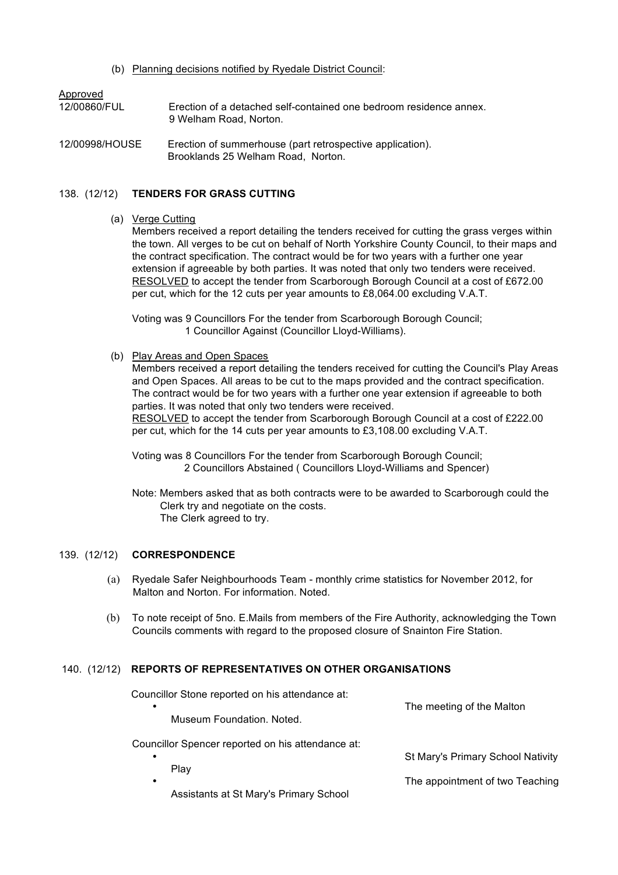(b) Planning decisions notified by Ryedale District Council:

| Approved       | Erection of a detached self-contained one bedroom residence annex.                              |
|----------------|-------------------------------------------------------------------------------------------------|
| 12/00860/FUL   | 9 Welham Road, Norton.                                                                          |
| 12/00998/HOUSE | Erection of summerhouse (part retrospective application).<br>Brooklands 25 Welham Road, Norton. |

## 138. (12/12) **TENDERS FOR GRASS CUTTING**

#### (a) Verge Cutting

Members received a report detailing the tenders received for cutting the grass verges within the town. All verges to be cut on behalf of North Yorkshire County Council, to their maps and the contract specification. The contract would be for two years with a further one year extension if agreeable by both parties. It was noted that only two tenders were received. RESOLVED to accept the tender from Scarborough Borough Council at a cost of £672.00 per cut, which for the 12 cuts per year amounts to £8,064.00 excluding V.A.T.

Voting was 9 Councillors For the tender from Scarborough Borough Council; 1 Councillor Against (Councillor Lloyd-Williams).

(b) Play Areas and Open Spaces

Members received a report detailing the tenders received for cutting the Council's Play Areas and Open Spaces. All areas to be cut to the maps provided and the contract specification. The contract would be for two years with a further one year extension if agreeable to both parties. It was noted that only two tenders were received. RESOLVED to accept the tender from Scarborough Borough Council at a cost of £222.00 per cut, which for the 14 cuts per year amounts to £3,108.00 excluding V.A.T.

Voting was 8 Councillors For the tender from Scarborough Borough Council; 2 Councillors Abstained ( Councillors Lloyd-Williams and Spencer)

Note: Members asked that as both contracts were to be awarded to Scarborough could the Clerk try and negotiate on the costs. The Clerk agreed to try.

# 139. (12/12) **CORRESPONDENCE**

- (a) Ryedale Safer Neighbourhoods Team monthly crime statistics for November 2012, for Malton and Norton. For information. Noted.
- (b) To note receipt of 5no. E.Mails from members of the Fire Authority, acknowledging the Town Councils comments with regard to the proposed closure of Snainton Fire Station.

# 140. (12/12) **REPORTS OF REPRESENTATIVES ON OTHER ORGANISATIONS**

Councillor Stone reported on his attendance at:

| $\bullet$                                                      | The meeting of the Malton         |
|----------------------------------------------------------------|-----------------------------------|
| Museum Foundation, Noted.                                      |                                   |
| Councillor Spencer reported on his attendance at:<br>٠<br>Play | St Mary's Primary School Nativity |
| ٠<br>Assistants at St Mary's Primary School                    | The appointment of two Teaching   |